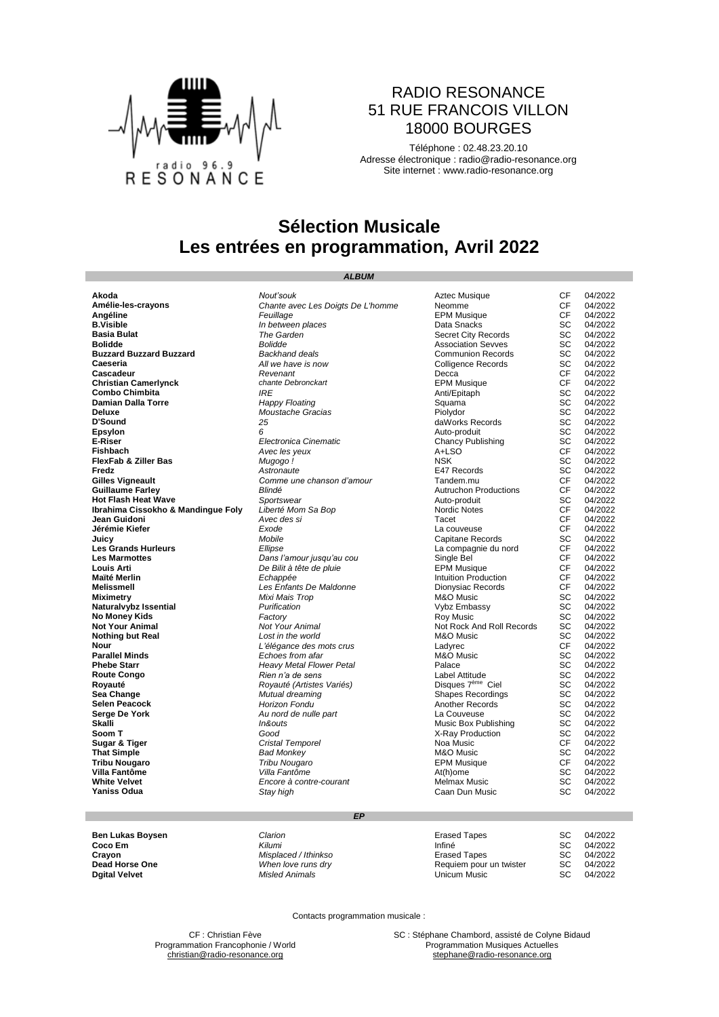

#### RADIO RESONANCE 51 RUE FRANCOIS VILLON 18000 BOURGES

Téléphone : 02.48.23.20.10 Adresse électronique : [radio@radio-resonance.org](mailto:radio@radio-resonance.org) Site internet : [www.radio-resonance.org](http://www.radio-resonance.org/)

## **Sélection Musicale Les entrées en programmation, Avril 2022**

*ALBUM*

**Damian Dalla Torre Route Congo** *Rien n'a de sens* **Meses de Sens** Label Attitude **Royauté** *Royauté (Artistes Variés)* **Conservant Congress** Disques 7<sup>ème</sup> Ciel **Royauté Royauté** *Royauté (Artistes Variés)*<br> **Sea Change** *Discussion Mutual dreaming* **Selen Peacock** *Horizon Fondu* Another Records SC 04/2022

**Akoda CF** 04/2022<br> **Amélie-les-crayons** Chante avec Les Doigts De L'homme Neomme Neome CF 04/2022<br> **Angéline CF** 04/2022<br>
Angéline CF 04/2022 **Amélie-les-crayons** *Chante avec Les Doigts De L'homme* Neomme CF 04/2022 **Angéline** *Feuillage* EPM Musique CF 04/2022 **B.Visible** *In between places* Data Snacks SC 04/2022 **Fine Garden**<br> **Basic Conduct City Records**<br> **Backhand deals**<br> **Backhand deals**<br> **Backhand deals**<br> **Backhand deals Bolidde** *Bolidde* Association Sevves SC 04/2022 **Buzzard Buzzard Buzzard** *Backhand deals* Communion Records SC 04/2022 **Caeseria Caeseria Caeseria** *All we have is now* **Colligence Records** SC 04/2022<br> **Caeseria** SC 04/2022<br> **Caeseria** CF 04/2022 **Cascadeur** Cascadeur *Revenant* Revenant Decca Decca CF 04/2022 **Christian Camerlynck** *chante Debronckart* EPM Musique CF 04/2022 **Combo Chimbita Combo Chimbita IRE** *IRE Anti/Epitaph* **SC 04/2022<br>
<b>Damian Dalla Torre** *IRE Happy Floating* **SQUAME Squama** SC 04/2022 **Deluxe** *Moustache Gracias* Piolydor SC 04/2022 **D'Sound** *25* daWorks Records SC 04/2022 **Epsylon** *6* Auto-produit SC 04/2022 **E-Riser**<br> **Electronica Cinematic** Chancy Publishing SC 04/2022<br> **Fishbach** Avec les yeux A+LSO A+LSO CF 04/2022 **Fishbach** *Avec les yeux* A+LSO CF 04/2022 **FlexFab & Ziller Bas** *Mugogo**!***<br>
<b>FlexFab & Ziller Bas** *Mugogo !*<br> **Fredz E**47 Records SC 04/2022<br>
SC 04/2022 **Fredz** *Astronaute* E47 Records SC 04/2022 **Gilles Vigneault** *Comme une chanson d'amour* Tandem.mu CF 04/2022 **Guillaume Farley** *Blindé* Autruchon Productions CF 04/2022 **Hot Flash Heat Wave** *Sportswear* Auto-produit SC 04/2022 **Ibrahima Cissokho & Mandingue Foly**<br> **Ibrahima Cissokho & Mandingue Foly**<br> **Ibrahima Cissokho & Mandingue Foly**<br> *Liberté Mom Sa Bop*<br> *Avec des si DAI2022*<br> **Ibrahima Cissokho & Mandingue Foly**<br> *Avec des si* **CF** 04/2 **Jean Guidoni** *Avec des si* Tacet CF 04/2022 **Jérémie Kiefer**<br> **Jérémie Kiefer**<br> **Juicy**<br> **La couveuse**<br> **La couveuse**<br>
CF 04/2022<br> **La compagnie du nord**<br>
CF 04/2022<br> **La compagnie du nord**<br>
CF 04/2022<br>
CE 04/2022 **Juicy Juicy SC** 04/2022<br> **Les Grands Hurleurs Capital Compagnie du nord** CF 04/2022<br>
La compagnie du nord CF 04/2022 La compagnie du nord CF<br> **Single Bel** CF **Les Marmottes Les Annuncies Dans l'amour jusqu'au cou** Single Bel CF 04/2022<br> **Louis Arti** CF 04/2022<br> **Maïté Merlin** CF 04/2022<br> **Maïté Merlin** CF 04/2022 **Louis Arti** *De Bilit à tête de pluie* EPM Musique CF 04/2022 **Maïté Merlin** *Echappée* Intuition Production CF 04/2022 **Melissmell** *Les Enfants De Maldonne* Dionysiac Records CF 04/2022 Mixi Mais Trop**on Miximetry of Miximetry M&O** Music SC 04/2022<br>Purification Miximetry SC 04/2022<br>Factory SC 04/2022 **Naturalvybz Issential Naturalyybz Issential** *Purification* **Consumersity** *Vybz* Embassy SC 04/2022<br> **No Money Kids** SC 04/2022<br> **No Money Kids** SC 04/2022 **No Money Kids Factory Factory Factory Roy Music SC** 04/2022<br> **Not Your Animal Roy Music SC** 04/2022<br> **Not Rock And Roll Records** SC 04/2022 **Not Rock And Roll Records SC<br>
<b>M&O Music SC**<br>
Ladyrec CF<br>
M&O Music SC **Nothing but Real Containers Containers Act and ACC** MAC Music **SC** 04/2022<br> **Nour CF** 04/2022<br> **Parallel Minds CR CONS Choes** from afar<br> **Parallel Minds** SC 04/2022 **Nour CF** 04/2022<br> **Parallel Minds** CF 04/2022<br> **Parallel Minds** CC 04/2022<br>
Complete from a farm a many M&O Music CF 04/2022 **Parallel Minds Echoes from afar M&O Music SC 04/2022**<br> **Phebe Starr Example 2012** *Example and Heavy Metal Flower Petal* **Palace <b>Propose SC 04/2022 Phebe Starr** *Heavy Metal Flower Petal* Palace SC 04/2022 04/2022<br>04/2022 **Sea Change** *Mutual dreaming* Shapes Recordings SC 04/2022 **Serge De York** *Au nord de nulle part* La Couveuse SC 04/2022 **Skalli** *In&outs* Music Box Publishing SC 04/2022 **Soom T**<br> **Soom T**<br> **Sugar & Tiger**<br> **Sugar & Tiger**<br>
Cristal Temporel Sugar & Tiger<br>
Cristal Temporel Sugar & Tiger<br>
Cristal Temporel Sugar A Noa Music **Sugar & Tiger** *Cristal Temporel* Noa Music CF 04/2022 **That Simple** *Bad Monkey* M&O Music SC 04/2022 **Tribu Nougaro** *Tribu Nougaro* EPM Musique CF 04/2022 **Villa Fantôme** *Villa Fantôme* At(h)ome SC 04/2022 **White Velvet** *Encore à contre-courant* Melmax Music SC 04/2022 **Yaniss Odua** *Stay high* Caan Dun Music SC 04/2022

*EP*

| Ben Lukas Boysen | Clarion              | Erased Tapes            | SC  | 04/2022 |
|------------------|----------------------|-------------------------|-----|---------|
| Coco Em          | Kilumi               | Infiné                  |     | 04/2022 |
| Cravon           | Misplaced / Ithinkso | Erased Tapes            | SC  | 04/2022 |
| Dead Horse One   | When love runs drv   | Requiem pour un twister | -SC | 04/2022 |
| Daital Velvet    | Misled Animals       | Unicum Music            | SC  | 04/2022 |

Contacts programmation musicale :

Programmation Francophonie / World

**Misled Animals** 

> CF : Christian Fève **SC : Stéphane Chambord, assisté de Colyne Bidaud**<br> **SC : Stéphane Chambord, assisté de Colyne Bidaud**<br> **Programmation Musiques Actuelles** [christian@radio-resonance.org](mailto:christian@radio-resonance.org) [stephane@radio-resonance.org](mailto:stephane@radio-resonance.org) stephane@radio-resonance.org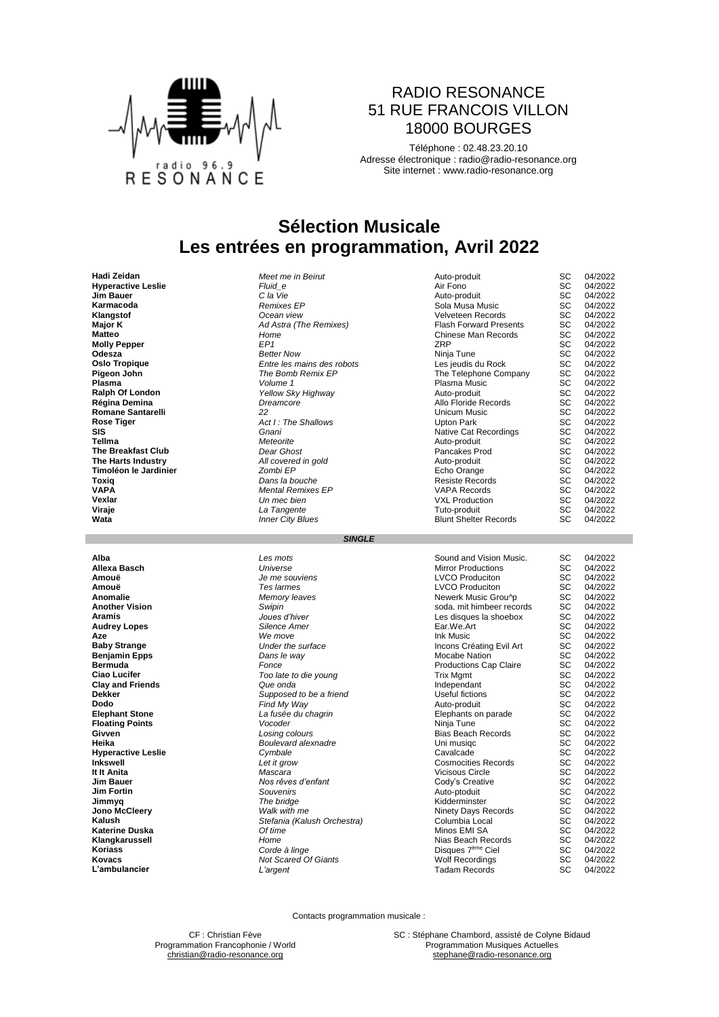

#### RADIO RESONANCE 51 RUE FRANCOIS VILLON 18000 BOURGES

Téléphone : 02.48.23.20.10 Adresse électronique : [radio@radio-resonance.org](mailto:radio@radio-resonance.org) Site internet : [www.radio-resonance.org](http://www.radio-resonance.org/)

## **Sélection Musicale Les entrées en programmation, Avril 2022**

**Régina Demina** *Dreamcore* Allo Floride Records SC 04/2022 **Toxiq** *Dans la bouche* Resiste Records SC 04/2022 **Wata** *Inner City Blues* Blunt Shelter Records SC 04/2022

| Haul <i>L</i> oluan         | <u>MCCLING IN DEINI</u>    | Aulu-proudit                  | ັບ        | <b>UTILULL</b> |
|-----------------------------|----------------------------|-------------------------------|-----------|----------------|
| <b>Hyperactive Leslie</b>   | Fluid e                    | Air Fono                      | <b>SC</b> | 04/2022        |
| <b>Jim Bauer</b>            | C la Vie                   | Auto-produit                  | <b>SC</b> | 04/2022        |
| Karmacoda                   | <b>Remixes EP</b>          | Sola Musa Music               | SC.       | 04/2022        |
| Klangstof                   | Ocean view                 | Velveteen Records             | <b>SC</b> | 04/2022        |
| Major K                     | Ad Astra (The Remixes)     | <b>Flash Forward Presents</b> | SC.       | 04/2022        |
| <b>Matteo</b>               | Home                       | Chinese Man Records           | <b>SC</b> | 04/2022        |
| <b>Molly Pepper</b>         | EP <sub>1</sub>            | <b>ZRP</b>                    | SC.       | 04/2022        |
| Odesza                      | <b>Better Now</b>          | Ninja Tune                    | SС        | 04/2022        |
| <b>Oslo Tropique</b>        | Entre les mains des robots | Les jeudis du Rock            | SC        | 04/2022        |
| Pigeon John                 | The Bomb Remix EP          | The Telephone Company         | SC        | 04/2022        |
| <b>Plasma</b>               | Volume 1                   | Plasma Music                  | SC        | 04/2022        |
| <b>Ralph Of London</b>      | Yellow Sky Highway         | Auto-produit                  | SC        | 04/2022        |
| Régina Demina               | Dreamcore                  | Allo Floride Records          | SC.       | 04/2022        |
| <b>Romane Santarelli</b>    | 22                         | Unicum Music                  | <b>SC</b> | 04/2022        |
| Rose Tiger                  | Act I: The Shallows        | Upton Park                    | SC.       | 04/2022        |
| <b>SIS</b>                  | Gnani                      | Native Cat Recordings         | SC        | 04/2022        |
| Tellma                      | Meteorite                  | Auto-produit                  | <b>SC</b> | 04/2022        |
| <b>The Breakfast Club</b>   | Dear Ghost                 | Pancakes Prod                 | SC.       | 04/2022        |
| The Harts Industry          | All covered in gold        | Auto-produit                  | <b>SC</b> | 04/2022        |
| Timoléon le Jardinier       | Zombi EP                   | Echo Orange                   | <b>SC</b> | 04/2022        |
| Toxig                       | Dans la bouche             | <b>Resiste Records</b>        | <b>SC</b> | 04/2022        |
| <b>VAPA</b>                 | <b>Mental Remixes EP</b>   | <b>VAPA Records</b>           | <b>SC</b> | 04/2022        |
| Vexlar                      | Un mec bien                | <b>VXL Production</b>         | SC.       | 04/2022        |
| Viraje                      | La Tangente                | Tuto-produit                  | SC        | 04/2022        |
| $\mathbf{v}$ . $\mathbf{v}$ | $\mathbf{a}$               |                               | $\sim$    | 0.10000        |

#### *SINGLE*

| Alba                      | Les mots                    | Sound and Vision Music.       | SC | 04/2022 |
|---------------------------|-----------------------------|-------------------------------|----|---------|
| Allexa Basch              | Universe                    | <b>Mirror Productions</b>     | SC | 04/2022 |
| Amouë                     | Je me souviens              | <b>LVCO Produciton</b>        | SC | 04/2022 |
| Amouë                     | Tes larmes                  | <b>LVCO Produciton</b>        | SC | 04/2022 |
| Anomalie                  | Memory leaves               | Newerk Music Grou^p           | SC | 04/2022 |
| Another Vision            | Swipin                      | soda, mit himbeer records     | SC | 04/2022 |
| Aramis                    | Joues d'hiver               | Les disques la shoebox        | SC | 04/2022 |
| Audrey Lopes              | Silence Amer                | Ear We Art                    | SC | 04/2022 |
| Aze                       | We move                     | Ink Music                     | SC | 04/2022 |
| <b>Baby Strange</b>       | Under the surface           | Incons Créating Evil Art      | SC | 04/2022 |
| Benjamin Epps             | Dans le way                 | Mocabe Nation                 | SC | 04/2022 |
| Bermuda                   | Fonce                       | <b>Productions Cap Claire</b> | SC | 04/2022 |
| Ciao Lucifer              | Too late to die young       | <b>Trix Mgmt</b>              | SC | 04/2022 |
| <b>Clay and Friends</b>   | Que onda                    | Independant                   | SC | 04/2022 |
| Dekker                    | Supposed to be a friend     | Useful fictions               | SC | 04/2022 |
| Dodo                      | Find My Way                 | Auto-produit                  | SC | 04/2022 |
| <b>Elephant Stone</b>     | La fusée du chagrin         | Elephants on parade           | SC | 04/2022 |
| <b>Floating Points</b>    | Vocoder                     | Ninia Tune                    | SC | 04/2022 |
| Givven                    | Losing colours              | <b>Bias Beach Records</b>     | SC | 04/2022 |
| Heika                     | Boulevard alexnadre         | Uni musigc                    | SC | 04/2022 |
| <b>Hyperactive Leslie</b> | Cymbale                     | Cavalcade                     | SC | 04/2022 |
| Inkswell                  | Let it grow                 | <b>Cosmocities Records</b>    | SC | 04/2022 |
| It It Anita               | Mascara                     | <b>Vicisous Circle</b>        | SC | 04/2022 |
| Jim Bauer                 | Nos rêves d'enfant          | Cody's Creative               | SC | 04/2022 |
| Jim Fortin                | Souvenirs                   | Auto-ptoduit                  | SC | 04/2022 |
| Jimmyq                    | The bridge                  | Kidderminster                 | SC | 04/2022 |
| <b>Jono McCleery</b>      | Walk with me                | Ninety Days Records           | SC | 04/2022 |
| Kalush                    | Stefania (Kalush Orchestra) | Columbia Local                | SC | 04/2022 |
| Katerine Duska            | Of time                     | Minos EMI SA                  | SC | 04/2022 |
| Klangkarussell            | Home                        | Nias Beach Records            | SC | 04/2022 |
| Koriass                   | Corde à linge               | Disques 7 <sup>ème</sup> Ciel | SC | 04/2022 |
| Kovacs                    | <b>Not Scared Of Giants</b> | <b>Wolf Recordings</b>        | SC | 04/2022 |
| L'ambulancier             | L'argent                    | <b>Tadam Records</b>          | SC | 04/2022 |
|                           |                             |                               |    |         |

Contacts programmation musicale :

CF : Christian Fève SC : Stéphane Chambord, assisté de Colyne Bidaud<br>
mation Francophonie / World School School Programmation Musiques Actuelles [christian@radio-resonance.org](mailto:christian@radio-resonance.org) [stephane@radio-resonance.org](mailto:stephane@radio-resonance.org)